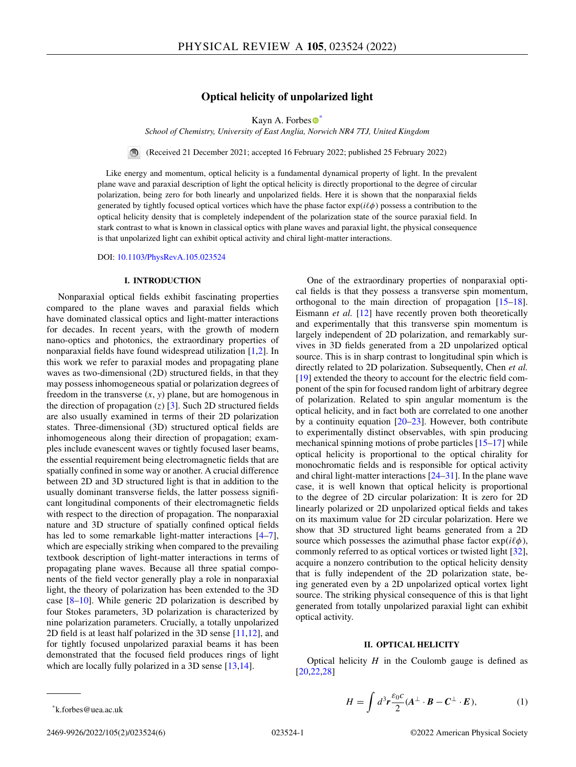# **Optical helicity of unpolarized light**

Kayn A. Forbe[s](https://orcid.org/0000-0002-8884-3496)  $\bullet^*$ 

<span id="page-0-0"></span>*School of Chemistry, University of East Anglia, Norwich NR4 7TJ, United Kingdom*

 $\bigcirc$ (Received 21 December 2021; accepted 16 February 2022; published 25 February 2022)

Like energy and momentum, optical helicity is a fundamental dynamical property of light. In the prevalent plane wave and paraxial description of light the optical helicity is directly proportional to the degree of circular polarization, being zero for both linearly and unpolarized fields. Here it is shown that the nonparaxial fields generated by tightly focused optical vortices which have the phase factor  $\exp(i\ell\phi)$  possess a contribution to the optical helicity density that is completely independent of the polarization state of the source paraxial field. In stark contrast to what is known in classical optics with plane waves and paraxial light, the physical consequence is that unpolarized light can exhibit optical activity and chiral light-matter interactions.

DOI: [10.1103/PhysRevA.105.023524](https://doi.org/10.1103/PhysRevA.105.023524)

#### **I. INTRODUCTION**

Nonparaxial optical fields exhibit fascinating properties compared to the plane waves and paraxial fields which have dominated classical optics and light-matter interactions for decades. In recent years, with the growth of modern nano-optics and photonics, the extraordinary properties of nonparaxial fields have found widespread utilization [\[1,2\]](#page-4-0). In this work we refer to paraxial modes and propagating plane waves as two-dimensional (2D) structured fields, in that they may possess inhomogeneous spatial or polarization degrees of freedom in the transverse  $(x, y)$  plane, but are homogenous in the direction of propagation  $(z)$  [\[3\]](#page-4-0). Such 2D structured fields are also usually examined in terms of their 2D polarization states. Three-dimensional (3D) structured optical fields are inhomogeneous along their direction of propagation; examples include evanescent waves or tightly focused laser beams, the essential requirement being electromagnetic fields that are spatially confined in some way or another. A crucial difference between 2D and 3D structured light is that in addition to the usually dominant transverse fields, the latter possess significant longitudinal components of their electromagnetic fields with respect to the direction of propagation. The nonparaxial nature and 3D structure of spatially confined optical fields has led to some remarkable light-matter interactions [\[4–7\]](#page-4-0), which are especially striking when compared to the prevailing textbook description of light-matter interactions in terms of propagating plane waves. Because all three spatial components of the field vector generally play a role in nonparaxial light, the theory of polarization has been extended to the 3D case  $[8-10]$ . While generic 2D polarization is described by four Stokes parameters, 3D polarization is characterized by nine polarization parameters. Crucially, a totally unpolarized 2D field is at least half polarized in the 3D sense  $[11,12]$ , and for tightly focused unpolarized paraxial beams it has been demonstrated that the focused field produces rings of light which are locally fully polarized in a 3D sense [\[13,14\]](#page-5-0).

One of the extraordinary properties of nonparaxial optical fields is that they possess a transverse spin momentum, orthogonal to the main direction of propagation [\[15–18\]](#page-5-0). Eismann *et al.* [\[12\]](#page-4-0) have recently proven both theoretically and experimentally that this transverse spin momentum is largely independent of 2D polarization, and remarkably survives in 3D fields generated from a 2D unpolarized optical source. This is in sharp contrast to longitudinal spin which is directly related to 2D polarization. Subsequently, Chen *et al.* [\[19\]](#page-5-0) extended the theory to account for the electric field component of the spin for focused random light of arbitrary degree of polarization. Related to spin angular momentum is the optical helicity, and in fact both are correlated to one another by a continuity equation [\[20–23\]](#page-5-0). However, both contribute to experimentally distinct observables, with spin producing mechanical spinning motions of probe particles [\[15–17\]](#page-5-0) while optical helicity is proportional to the optical chirality for monochromatic fields and is responsible for optical activity and chiral light-matter interactions [\[24–31\]](#page-5-0). In the plane wave case, it is well known that optical helicity is proportional to the degree of 2D circular polarization: It is zero for 2D linearly polarized or 2D unpolarized optical fields and takes on its maximum value for 2D circular polarization. Here we show that 3D structured light beams generated from a 2D source which possesses the azimuthal phase factor  $exp(i\ell\phi)$ , commonly referred to as optical vortices or twisted light [\[32\]](#page-5-0), acquire a nonzero contribution to the optical helicity density that is fully independent of the 2D polarization state, being generated even by a 2D unpolarized optical vortex light source. The striking physical consequence of this is that light generated from totally unpolarized paraxial light can exhibit optical activity.

### **II. OPTICAL HELICITY**

Optical helicity *H* in the Coulomb gauge is defined as [\[20,22,28\]](#page-5-0)

$$
H = \int d^3r \frac{\varepsilon_0 c}{2} (A^{\perp} \cdot B - C^{\perp} \cdot E), \tag{1}
$$

<sup>\*</sup>k.forbes@uea.ac.uk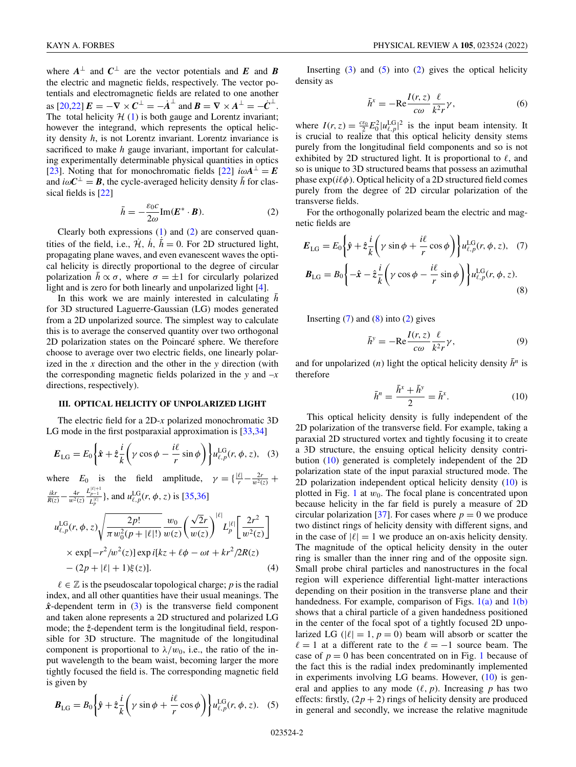<span id="page-1-0"></span>where  $A^{\perp}$  and  $C^{\perp}$  are the vector potentials and *E* and *B* the electric and magnetic fields, respectively. The vector potentials and electromagnetic fields are related to one another as  $[20,22]$   $\mathbf{E} = -\nabla \times \mathbf{C}^{\perp} = -\dot{\mathbf{A}}^{\perp}$  and  $\mathbf{B} = \nabla \times \mathbf{A}^{\perp} = -\dot{\mathbf{C}}^{\perp}$ . The total helicity  $H(1)$  $H(1)$  is both gauge and Lorentz invariant; however the integrand, which represents the optical helicity density *h*, is not Lorentz invariant. Lorentz invariance is sacrificed to make *h* gauge invariant, important for calculating experimentally determinable physical quantities in optics [\[23\]](#page-5-0). Noting that for monochromatic fields [\[22\]](#page-5-0)  $i\omega A^{\perp} = E$ and  $i\omega C^{\perp} = B$ , the cycle-averaged helicity density  $\bar{h}$  for classical fields is [\[22\]](#page-5-0)

$$
\bar{h} = -\frac{\varepsilon_0 c}{2\omega} \text{Im}(\boldsymbol{E}^* \cdot \boldsymbol{B}).\tag{2}
$$

Clearly both expressions  $(1)$  and  $(2)$  are conserved quantities of the field, i.e.,  $\mathcal{H}$ ,  $\dot{h}$ ,  $\dot{h} = 0$ . For 2D structured light, propagating plane waves, and even evanescent waves the optical helicity is directly proportional to the degree of circular polarization  $\bar{h} \propto \sigma$ , where  $\sigma = \pm 1$  for circularly polarized light and is zero for both linearly and unpolarized light [\[4\]](#page-4-0).

In this work we are mainly interested in calculating  $\bar{h}$ for 3D structured Laguerre-Gaussian (LG) modes generated from a 2D unpolarized source. The simplest way to calculate this is to average the conserved quantity over two orthogonal 2D polarization states on the Poincaré sphere. We therefore choose to average over two electric fields, one linearly polarized in the *x* direction and the other in the *y* direction (with the corresponding magnetic fields polarized in the *y* and –*x* directions, respectively).

## **III. OPTICAL HELICITY OF UNPOLARIZED LIGHT**

The electric field for a 2D-*x* polarized monochromatic 3D LG mode in the first postparaxial approximation is [\[33,34\]](#page-5-0)

$$
E_{\text{LG}} = E_0 \left\{ \hat{x} + \hat{z} \frac{i}{k} \left( \gamma \cos \phi - \frac{i\ell}{r} \sin \phi \right) \right\} u_{\ell, p}^{\text{LG}}(r, \phi, z), \quad (3)
$$

where  $E_0$  is the field amplitude,  $\gamma = \left\{ \frac{|\ell|}{r} - \frac{2r}{w^2(z)} \right\}$  $\frac{ikr}{R(z)} - \frac{4r}{w^2(z)}$  $\frac{L_{p-1}^{|\ell|+1}}{L_p^{|\ell|}}$ }, and  $u_{\ell,p}^{\text{LG}}(r, \phi, z)$  is [\[35,36\]](#page-5-0)

$$
u_{\ell,p}^{\text{LG}}(r,\phi,z)\sqrt{\frac{2p!}{\pi w_0^2(p+|\ell|!)}}\frac{w_0}{w(z)}\left(\frac{\sqrt{2}r}{w(z)}\right)^{|\ell|}L_p^{|\ell|}\left[\frac{2r^2}{w^2(z)}\right] \times \exp[-r^2/w^2(z)]\exp i[kz + \ell\phi - \omega t + kr^2/2R(z) - (2p+|\ell|+1)\xi(z)]. \tag{4}
$$

 $\ell \in \mathbb{Z}$  is the pseudoscalar topological charge; *p* is the radial index, and all other quantities have their usual meanings. The  $\hat{x}$ -dependent term in (3) is the transverse field component and taken alone represents a 2D structured and polarized LG mode; the  $\hat{z}$ -dependent term is the longitudinal field, responsible for 3D structure. The magnitude of the longitudinal component is proportional to  $\lambda/w_0$ , i.e., the ratio of the input wavelength to the beam waist, becoming larger the more tightly focused the field is. The corresponding magnetic field is given by

$$
\boldsymbol{B}_{\text{LG}} = B_0 \left\{ \hat{\boldsymbol{y}} + \hat{z} \frac{i}{k} \left( \gamma \sin \phi + \frac{i\ell}{r} \cos \phi \right) \right\} u_{\ell, p}^{\text{LG}}(r, \phi, z). \quad (5)
$$

Inserting  $(3)$  and  $(5)$  into  $(2)$  gives the optical helicity density as

$$
\bar{h}^x = -\text{Re}\frac{I(r,z)}{c\omega}\frac{\ell}{k^2r}\gamma,\tag{6}
$$

where  $I(r, z) = \frac{c \varepsilon_0}{2} E_0^2 |u_{\ell, p}^{\text{LG}}|^2$  is the input beam intensity. It is crucial to realize that this optical helicity density stems purely from the longitudinal field components and so is not exhibited by 2D structured light. It is proportional to  $\ell$ , and so is unique to 3D structured beams that possess an azimuthal phase  $\exp(i\ell\phi)$ . Optical helicity of a 2D structured field comes purely from the degree of 2D circular polarization of the transverse fields.

For the orthogonally polarized beam the electric and magnetic fields are

$$
E_{\text{LG}} = E_0 \left\{ \hat{y} + \hat{z} \frac{i}{k} \left( \gamma \sin \phi + \frac{i\ell}{r} \cos \phi \right) \right\} u_{\ell, p}^{\text{LG}}(r, \phi, z), \quad (7)
$$

$$
B_{\text{LG}} = B_0 \left\{ -\hat{x} - \hat{z} \frac{i}{k} \left( \gamma \cos \phi - \frac{i\ell}{r} \sin \phi \right) \right\} u_{\ell, p}^{\text{LG}}(r, \phi, z).
$$
(8)

Inserting  $(7)$  and  $(8)$  into  $(2)$  gives

$$
\bar{h}^{\mathbf{y}} = -\text{Re}\frac{I(r,z)}{c\omega}\frac{\ell}{k^2r}\gamma,\tag{9}
$$

and for unpolarized (*n*) light the optical helicity density  $\bar{h}^n$  is therefore

$$
\bar{h}^n = \frac{\bar{h}^x + \bar{h}^y}{2} = \bar{h}^x.
$$
 (10)

This optical helicity density is fully independent of the 2D polarization of the transverse field. For example, taking a paraxial 2D structured vortex and tightly focusing it to create a 3D structure, the ensuing optical helicity density contribution (10) generated is completely independent of the 2D polarization state of the input paraxial structured mode. The 2D polarization independent optical helicity density (10) is plotted in Fig. [1](#page-2-0) at  $w_0$ . The focal plane is concentrated upon because helicity in the far field is purely a measure of 2D circular polarization [\[37\]](#page-5-0). For cases where  $p = 0$  we produce two distinct rings of helicity density with different signs, and in the case of  $|\ell| = 1$  we produce an on-axis helicity density. The magnitude of the optical helicity density in the outer ring is smaller than the inner ring and of the opposite sign. Small probe chiral particles and nanostructures in the focal region will experience differential light-matter interactions depending on their position in the transverse plane and their handedness. For example, comparison of Figs.  $1(a)$  and  $1(b)$ shows that a chiral particle of a given handedness positioned in the center of the focal spot of a tightly focused 2D unpolarized LG ( $|\ell| = 1$ ,  $p = 0$ ) beam will absorb or scatter the  $\ell = 1$  at a different rate to the  $\ell = -1$  source beam. The case of  $p = 0$  has been concentrated on in Fig. [1](#page-2-0) because of the fact this is the radial index predominantly implemented in experiments involving LG beams. However, (10) is general and applies to any mode  $(\ell, p)$ . Increasing  $p$  has two effects: firstly,  $(2p + 2)$  rings of helicity density are produced in general and secondly, we increase the relative magnitude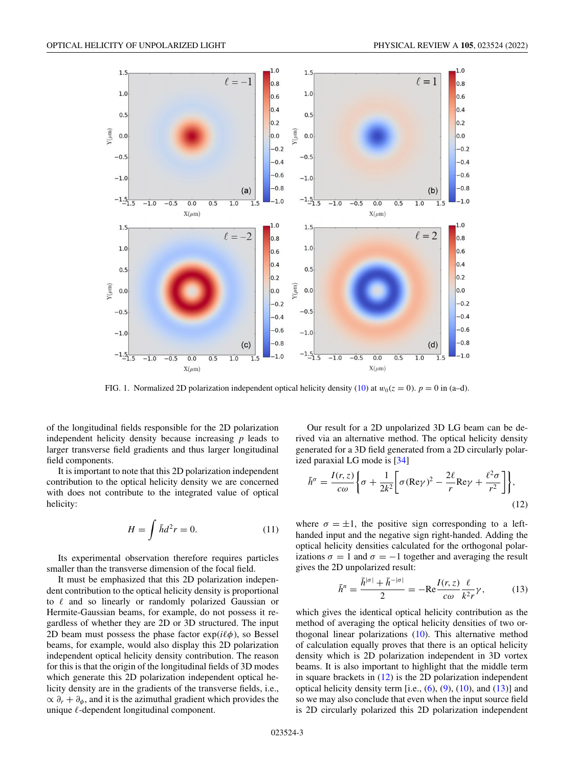<span id="page-2-0"></span>

FIG. 1. Normalized 2D polarization independent optical helicity density [\(10\)](#page-1-0) at  $w_0(z = 0)$ .  $p = 0$  in (a–d).

of the longitudinal fields responsible for the 2D polarization independent helicity density because increasing *p* leads to larger transverse field gradients and thus larger longitudinal field components.

It is important to note that this 2D polarization independent contribution to the optical helicity density we are concerned with does not contribute to the integrated value of optical helicity:

$$
H = \int \bar{h}d^2r = 0.
$$
 (11)

Its experimental observation therefore requires particles smaller than the transverse dimension of the focal field.

It must be emphasized that this 2D polarization independent contribution to the optical helicity density is proportional to  $\ell$  and so linearly or randomly polarized Gaussian or Hermite-Gaussian beams, for example, do not possess it regardless of whether they are 2D or 3D structured. The input 2D beam must possess the phase factor  $exp(i\ell\phi)$ , so Bessel beams, for example, would also display this 2D polarization independent optical helicity density contribution. The reason for this is that the origin of the longitudinal fields of 3D modes which generate this 2D polarization independent optical helicity density are in the gradients of the transverse fields, i.e.,  $\alpha \partial_r + \partial_\phi$ , and it is the azimuthal gradient which provides the unique  $\ell$ -dependent longitudinal component.

Our result for a 2D unpolarized 3D LG beam can be derived via an alternative method. The optical helicity density generated for a 3D field generated from a 2D circularly polarized paraxial LG mode is [\[34\]](#page-5-0)

$$
\bar{h}^{\sigma} = \frac{I(r, z)}{c\omega} \bigg\{ \sigma + \frac{1}{2k^2} \bigg[ \sigma (\text{Re}\gamma)^2 - \frac{2\ell}{r} \text{Re}\gamma + \frac{\ell^2 \sigma}{r^2} \bigg] \bigg\},\tag{12}
$$

where  $\sigma = \pm 1$ , the positive sign corresponding to a lefthanded input and the negative sign right-handed. Adding the optical helicity densities calculated for the orthogonal polarizations  $\sigma = 1$  and  $\sigma = -1$  together and averaging the result gives the 2D unpolarized result:

$$
\bar{h}^{n} = \frac{\bar{h}^{|\sigma|} + \bar{h}^{-|\sigma|}}{2} = -\text{Re}\frac{I(r, z)}{c\omega} \frac{\ell}{k^{2}r} \gamma, \qquad (13)
$$

which gives the identical optical helicity contribution as the method of averaging the optical helicity densities of two orthogonal linear polarizations [\(10\)](#page-1-0). This alternative method of calculation equally proves that there is an optical helicity density which is 2D polarization independent in 3D vortex beams. It is also important to highlight that the middle term in square brackets in  $(12)$  is the 2D polarization independent optical helicity density term [i.e.,  $(6)$ ,  $(9)$ ,  $(10)$ , and  $(13)$ ] and so we may also conclude that even when the input source field is 2D circularly polarized this 2D polarization independent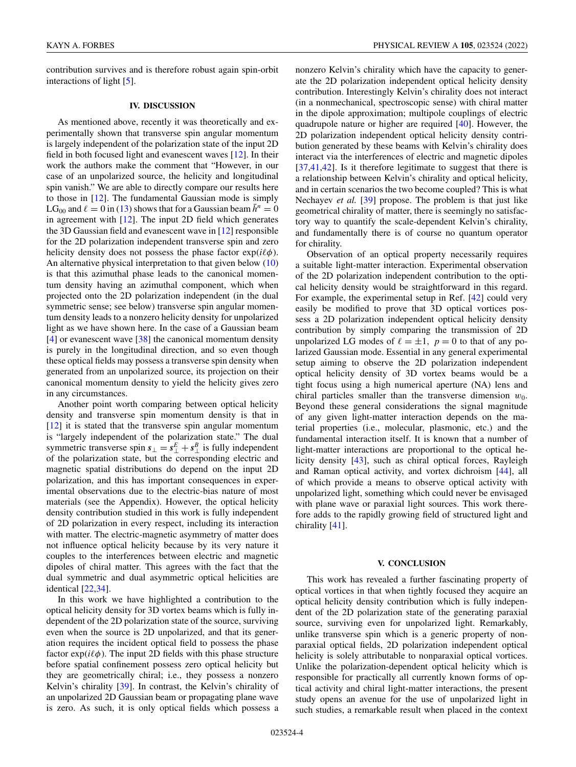KAYN A. FORBES PHYSICAL REVIEW A **105**, 023524 (2022)

contribution survives and is therefore robust again spin-orbit interactions of light [\[5\]](#page-4-0).

#### **IV. DISCUSSION**

As mentioned above, recently it was theoretically and experimentally shown that transverse spin angular momentum is largely independent of the polarization state of the input 2D field in both focused light and evanescent waves [\[12\]](#page-4-0). In their work the authors make the comment that "However, in our case of an unpolarized source, the helicity and longitudinal spin vanish." We are able to directly compare our results here to those in [\[12\]](#page-4-0). The fundamental Gaussian mode is simply LG<sub>00</sub> and  $\ell = 0$  in [\(13\)](#page-2-0) shows that for a Gaussian beam  $\bar{h}^n = 0$ in agreement with [\[12\]](#page-4-0). The input 2D field which generates the 3D Gaussian field and evanescent wave in [\[12\]](#page-4-0) responsible for the 2D polarization independent transverse spin and zero helicity density does not possess the phase factor  $exp(i\ell\phi)$ . An alternative physical interpretation to that given below [\(10\)](#page-1-0) is that this azimuthal phase leads to the canonical momentum density having an azimuthal component, which when projected onto the 2D polarization independent (in the dual symmetric sense; see below) transverse spin angular momentum density leads to a nonzero helicity density for unpolarized light as we have shown here. In the case of a Gaussian beam [\[4\]](#page-4-0) or evanescent wave [\[38\]](#page-5-0) the canonical momentum density is purely in the longitudinal direction, and so even though these optical fields may possess a transverse spin density when generated from an unpolarized source, its projection on their canonical momentum density to yield the helicity gives zero in any circumstances.

Another point worth comparing between optical helicity density and transverse spin momentum density is that in [\[12\]](#page-4-0) it is stated that the transverse spin angular momentum is "largely independent of the polarization state." The dual symmetric transverse spin  $s_{\perp} = s_{\perp}^E + s_{\perp}^B$  is fully independent of the polarization state, but the corresponding electric and magnetic spatial distributions do depend on the input 2D polarization, and this has important consequences in experimental observations due to the electric-bias nature of most materials (see the Appendix). However, the optical helicity density contribution studied in this work is fully independent of 2D polarization in every respect, including its interaction with matter. The electric-magnetic asymmetry of matter does not influence optical helicity because by its very nature it couples to the interferences between electric and magnetic dipoles of chiral matter. This agrees with the fact that the dual symmetric and dual asymmetric optical helicities are identical [\[22,34\]](#page-5-0).

In this work we have highlighted a contribution to the optical helicity density for 3D vortex beams which is fully independent of the 2D polarization state of the source, surviving even when the source is 2D unpolarized, and that its generation requires the incident optical field to possess the phase factor  $exp(i\ell\phi)$ . The input 2D fields with this phase structure before spatial confinement possess zero optical helicity but they are geometrically chiral; i.e., they possess a nonzero Kelvin's chirality [\[39\]](#page-5-0). In contrast, the Kelvin's chirality of an unpolarized 2D Gaussian beam or propagating plane wave is zero. As such, it is only optical fields which possess a nonzero Kelvin's chirality which have the capacity to generate the 2D polarization independent optical helicity density contribution. Interestingly Kelvin's chirality does not interact (in a nonmechanical, spectroscopic sense) with chiral matter in the dipole approximation; multipole couplings of electric quadrupole nature or higher are required [\[40\]](#page-5-0). However, the 2D polarization independent optical helicity density contribution generated by these beams with Kelvin's chirality does interact via the interferences of electric and magnetic dipoles [\[37,41,42\]](#page-5-0). Is it therefore legitimate to suggest that there is a relationship between Kelvin's chirality and optical helicity, and in certain scenarios the two become coupled? This is what Nechayev *et al.* [\[39\]](#page-5-0) propose. The problem is that just like geometrical chirality of matter, there is seemingly no satisfactory way to quantify the scale-dependent Kelvin's chirality, and fundamentally there is of course no quantum operator for chirality.

Observation of an optical property necessarily requires a suitable light-matter interaction. Experimental observation of the 2D polarization independent contribution to the optical helicity density would be straightforward in this regard. For example, the experimental setup in Ref. [\[42\]](#page-5-0) could very easily be modified to prove that 3D optical vortices possess a 2D polarization independent optical helicity density contribution by simply comparing the transmission of 2D unpolarized LG modes of  $\ell = \pm 1$ ,  $p = 0$  to that of any polarized Gaussian mode. Essential in any general experimental setup aiming to observe the 2D polarization independent optical helicity density of 3D vortex beams would be a tight focus using a high numerical aperture (NA) lens and chiral particles smaller than the transverse dimension  $w_0$ . Beyond these general considerations the signal magnitude of any given light-matter interaction depends on the material properties (i.e., molecular, plasmonic, etc.) and the fundamental interaction itself. It is known that a number of light-matter interactions are proportional to the optical helicity density [\[43\]](#page-5-0), such as chiral optical forces, Rayleigh and Raman optical activity, and vortex dichroism [\[44\]](#page-5-0), all of which provide a means to observe optical activity with unpolarized light, something which could never be envisaged with plane wave or paraxial light sources. This work therefore adds to the rapidly growing field of structured light and chirality [\[41\]](#page-5-0).

#### **V. CONCLUSION**

This work has revealed a further fascinating property of optical vortices in that when tightly focused they acquire an optical helicity density contribution which is fully independent of the 2D polarization state of the generating paraxial source, surviving even for unpolarized light. Remarkably, unlike transverse spin which is a generic property of nonparaxial optical fields, 2D polarization independent optical helicity is solely attributable to nonparaxial optical vortices. Unlike the polarization-dependent optical helicity which is responsible for practically all currently known forms of optical activity and chiral light-matter interactions, the present study opens an avenue for the use of unpolarized light in such studies, a remarkable result when placed in the context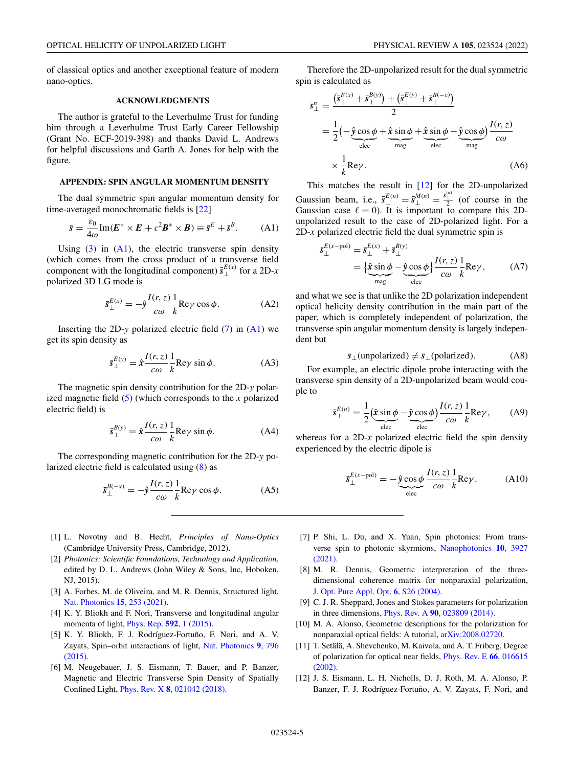<span id="page-4-0"></span>of classical optics and another exceptional feature of modern nano-optics.

### **ACKNOWLEDGMENTS**

The author is grateful to the Leverhulme Trust for funding him through a Leverhulme Trust Early Career Fellowship (Grant No. ECF-2019-398) and thanks David L. Andrews for helpful discussions and Garth A. Jones for help with the figure.

#### **APPENDIX: SPIN ANGULAR MOMENTUM DENSITY**

The dual symmetric spin angular momentum density for time-averaged monochromatic fields is [\[22\]](#page-5-0)

$$
\bar{s} = \frac{\varepsilon_0}{4\omega} \text{Im}(E^* \times E + c^2 B^* \times B) \equiv \bar{s}^E + \bar{s}^B. \quad (A1)
$$

Using  $(3)$  in  $(A1)$ , the electric transverse spin density (which comes from the cross product of a transverse field component with the longitudinal component)  $\bar{s}_{\perp}^{E(x)}$  for a 2D-*x* polarized 3D LG mode is

$$
\bar{s}_{\perp}^{E(x)} = -\hat{y}\frac{I(r,z)}{c\omega}\frac{1}{k}\text{Re}\gamma\cos\phi.
$$
 (A2)

Inserting the 2D-*y* polarized electric field [\(7\)](#page-1-0) in (A1) we get its spin density as

$$
\bar{s}_{\perp}^{E(y)} = \hat{x} \frac{I(r, z)}{c\omega} \frac{1}{k} \text{Re}\gamma \sin \phi.
$$
 (A3)

The magnetic spin density contribution for the 2D-*y* polarized magnetic field [\(5\)](#page-1-0) (which corresponds to the *x* polarized electric field) is

$$
\bar{s}_{\perp}^{B(y)} = \hat{x}\frac{I(r,z)}{c\omega}\frac{1}{k}\text{Re}\gamma\sin\phi.
$$
 (A4)

The corresponding magnetic contribution for the 2D-*y* polarized electric field is calculated using [\(8\)](#page-1-0) as

$$
\bar{s}_{\perp}^{B(-x)} = -\hat{y}\frac{I(r,z)}{c\omega}\frac{1}{k}\text{Re}\gamma\cos\phi.
$$
 (A5)

- [1] L. Novotny and B. Hecht, *Principles of Nano-Optics* (Cambridge University Press, Cambridge, 2012).
- [2] *Photonics: Scientific Foundations, Technology and Application*, edited by D. L. Andrews (John Wiley & Sons, Inc, Hoboken, NJ, 2015).
- [3] A. Forbes, M. de Oliveira, and M. R. Dennis, Structured light, [Nat. Photonics](https://doi.org/10.1038/s41566-021-00780-4) **15**, 253 (2021).
- [4] K. Y. Bliokh and F. Nori, Transverse and longitudinal angular momenta of light, [Phys. Rep.](https://doi.org/10.1016/j.physrep.2015.06.003) **592**, 1 (2015).
- [5] K. Y. Bliokh, F. J. Rodríguez-Fortuño, F. Nori, and A. V. [Zayats, Spin–orbit interactions of light,](https://doi.org/10.1038/nphoton.2015.201) Nat. Photonics **9**, 796 (2015).
- [6] M. Neugebauer, J. S. Eismann, T. Bauer, and P. Banzer, Magnetic and Electric Transverse Spin Density of Spatially Confined Light, Phys. Rev. X **8**[, 021042 \(2018\).](https://doi.org/10.1103/PhysRevX.8.021042)

Therefore the 2D-unpolarized result for the dual symmetric spin is calculated as

$$
\bar{s}_{\perp}^{n} = \frac{(\bar{s}_{\perp}^{E(x)} + \bar{s}_{\perp}^{B(y)}) + (\bar{s}_{\perp}^{E(y)} + \bar{s}_{\perp}^{B(-x)})}{2}
$$
\n
$$
= \frac{1}{2} \left( -\underbrace{\hat{y} \cos \phi}_{\text{elec}} + \underbrace{\hat{x} \sin \phi}_{\text{mag}} + \underbrace{\hat{x} \sin \phi}_{\text{elec}} - \underbrace{\hat{y} \cos \phi}_{\text{mag}} \right) \frac{I(r, z)}{c\omega}
$$
\n
$$
\times \frac{1}{k} \text{Re}\gamma. \tag{A6}
$$

This matches the result in [12] for the 2D-unpolarized Gaussian beam, i.e.,  $\bar{s}_{\perp}^{E(n)} = \bar{s}_{\perp}^{M(n)} = \frac{\bar{s}_{\perp}^{(n)}}{2}$  (of course in the Gaussian case  $\ell = 0$ ). It is important to compare this 2Dunpolarized result to the case of 2D-polarized light. For a 2D-*x* polarized electric field the dual symmetric spin is

$$
\overline{s}_{\perp}^{E(x-\text{pol})} = \overline{s}_{\perp}^{E(x)} + \overline{s}_{\perp}^{B(y)} \n= \left\{ \underbrace{\hat{x}\sin\phi}_{\text{mag}} - \underbrace{\hat{y}\cos\phi}_{\text{elec}} \right\} \frac{I(r,z)}{c\omega} \frac{1}{k} \text{Re}\gamma, \tag{A7}
$$

and what we see is that unlike the 2D polarization independent optical helicity density contribution in the main part of the paper, which is completely independent of polarization, the transverse spin angular momentum density is largely independent but

$$
\bar{s}_{\perp}(\text{unpolarized}) \neq \bar{s}_{\perp}(\text{polarized}).\tag{A8}
$$

For example, an electric dipole probe interacting with the transverse spin density of a 2D-unpolarized beam would couple to

$$
\bar{s}_{\perp}^{E(n)} = \frac{1}{2} \left( \hat{\mathbf{x}} \sin \phi - \hat{\mathbf{y}} \cos \phi \right) \frac{I(r, z)}{c\omega} \frac{1}{k} \text{Re}\gamma, \quad (A9)
$$

whereas for a 2D-*x* polarized electric field the spin density experienced by the electric dipole is

$$
\bar{s}_{\perp}^{E(x-\text{pol})} = -\underbrace{\hat{y}\cos\phi}_{\text{elec}} \frac{I(r,z)}{c\omega} \frac{1}{k} \text{Re}\gamma. \tag{A10}
$$

- [7] P. Shi, L. Du, and X. Yuan, Spin photonics: From trans[verse spin to photonic skyrmions,](https://doi.org/10.1515/nanoph-2021-0046) Nanophotonics **10**, 3927 (2021).
- [8] M. R. Dennis, Geometric interpretation of the threedimensional coherence matrix for nonparaxial polarization, [J. Opt. Pure Appl. Opt.](https://doi.org/10.1088/1464-4258/6/3/005) **6**, S26 (2004).
- [9] C. J. R. Sheppard, Jones and Stokes parameters for polarization in three dimensions, Phys. Rev. A **90**[, 023809 \(2014\).](https://doi.org/10.1103/PhysRevA.90.023809)
- [10] M. A. Alonso, Geometric descriptions for the polarization for nonparaxial optical fields: A tutorial, [arXiv:2008.02720.](http://arxiv.org/abs/arXiv:2008.02720)
- [11] T. Setälä, A. Shevchenko, M. Kaivola, and A. T. Friberg, Degree [of polarization for optical near fields,](https://doi.org/10.1103/PhysRevE.66.016615) Phys. Rev. E **66**, 016615 (2002).
- [12] J. S. Eismann, L. H. Nicholls, D. J. Roth, M. A. Alonso, P. Banzer, F. J. Rodríguez-Fortuño, A. V. Zayats, F. Nori, and